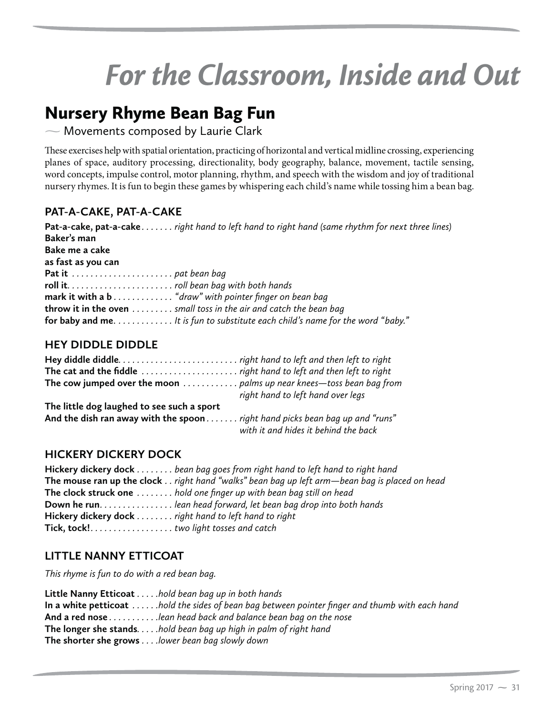# *For the Classroom, Inside and Out*

 $\sim$  Movements composed by Laurie Clark

These exercises help with spatial orientation, practicing of horizontal and vertical midline crossing, experiencing planes of space, auditory processing, directionality, body geography, balance, movement, tactile sensing, word concepts, impulse control, motor planning, rhythm, and speech with the wisdom and joy of traditional nursery rhymes. It is fun to begin these games by whispering each child's name while tossing him a bean bag.

# **PAT-A-CAKE, PAT-A-CAKE**

| Pat-a-cake, pat-a-cake right hand to left hand to right hand (same rhythm for next three lines) |
|-------------------------------------------------------------------------------------------------|
| Baker's man                                                                                     |
| Bake me a cake                                                                                  |
| as fast as you can                                                                              |
| Pat it $\dots \dots \dots \dots \dots \dots$ . pat bean bag                                     |
|                                                                                                 |
| mark it with a b "draw" with pointer finger on bean bag                                         |
| <b>throw it in the oven</b> $\dots$ $\dots$ and toss in the air and catch the bean bag          |
| for baby and me. It is fun to substitute each child's name for the word "baby."                 |

# **HEY DIDDLE DIDDLE**

| The cow jumped over the moon  palms up near knees—toss bean bag from         | right hand to left hand over legs    |
|------------------------------------------------------------------------------|--------------------------------------|
| The little dog laughed to see such a sport                                   |                                      |
| And the dish ran away with the spoon right hand picks bean bag up and "runs" |                                      |
|                                                                              | with it and hides it behind the back |

# **HICKERY DICKERY DOCK**

**Hickery dickery dock** *. . . . . . . . bean bag goes from right hand to left hand to right hand* **The mouse ran up the clock** *. . right hand "walks" bean bag up left arm —bean bag is placed on head* **The clock struck one** *. . . . . . . . hold one finger up with bean bag still on head* **Down he run** *. . . . . . . . . . . . . . . . lean head forward, let bean bag drop into both hands* **Hickery dickery dock** *. . . . . . . . right hand to left hand to right* **Tick, tock!** *. . . . . . . . . . . . . . . . . . two light tosses and catch*

# **LITTLE NANNY ETTICOAT**

*This rhyme is fun to do with a red bean bag.*

**Little Nanny Etticoat** *. . . . .hold bean bag up in both hands* **In a white petticoat** *. . . . . .hold the sides of bean bag between pointer finger and thumb with each hand* **And a red nose** *. . . . . . . . . . .lean head back and balance bean bag on the nose* **The longer she stands** *. . . . .hold bean bag up high in palm of right hand* **The shorter she grows** *. . . .lower bean bag slowly down*